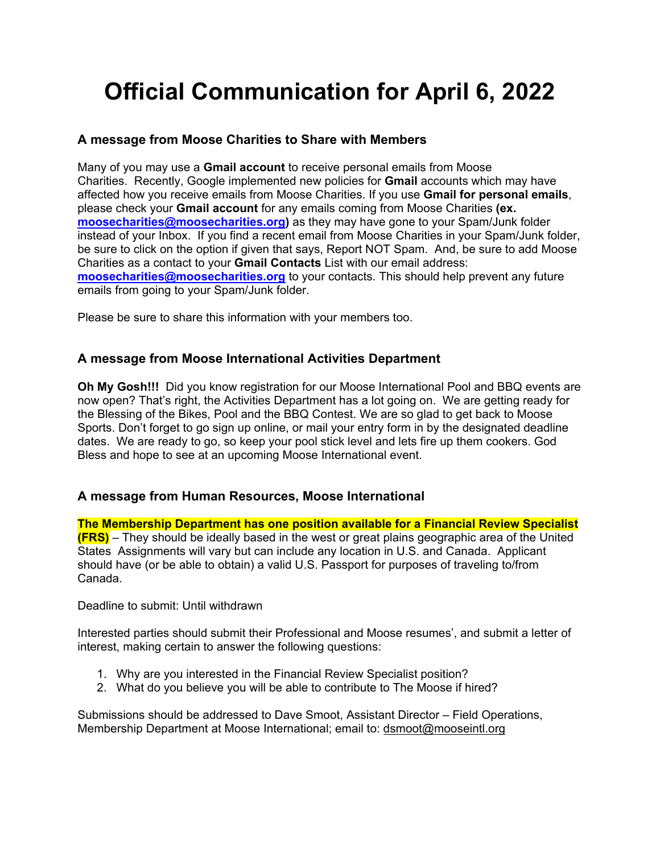## **Official Communication for April 6, 2022**

## **A message from Moose Charities to Share with Members**

Many of you may use a **Gmail account** to receive personal emails from Moose Charities. Recently, Google implemented new policies for **Gmail** accounts which may have affected how you receive emails from Moose Charities. If you use **Gmail for personal emails**, please check your **Gmail account** for any emails coming from Moose Charities **(ex. moosecharities@moosecharities.org)** as they may have gone to your Spam/Junk folder instead of your Inbox. If you find a recent email from Moose Charities in your Spam/Junk folder, be sure to click on the option if given that says, Report NOT Spam. And, be sure to add Moose Charities as a contact to your **Gmail Contacts** List with our email address: **moosecharities@moosecharities.org** to your contacts. This should help prevent any future emails from going to your Spam/Junk folder.

Please be sure to share this information with your members too.

## **A message from Moose International Activities Department**

**Oh My Gosh!!!** Did you know registration for our Moose International Pool and BBQ events are now open? That's right, the Activities Department has a lot going on. We are getting ready for the Blessing of the Bikes, Pool and the BBQ Contest. We are so glad to get back to Moose Sports. Don't forget to go sign up online, or mail your entry form in by the designated deadline dates. We are ready to go, so keep your pool stick level and lets fire up them cookers. God Bless and hope to see at an upcoming Moose International event.

## **A message from Human Resources, Moose International**

**The Membership Department has one position available for a Financial Review Specialist (FRS)** – They should be ideally based in the west or great plains geographic area of the United States Assignments will vary but can include any location in U.S. and Canada. Applicant should have (or be able to obtain) a valid U.S. Passport for purposes of traveling to/from Canada.

Deadline to submit: Until withdrawn

Interested parties should submit their Professional and Moose resumes', and submit a letter of interest, making certain to answer the following questions:

- 1. Why are you interested in the Financial Review Specialist position?
- 2. What do you believe you will be able to contribute to The Moose if hired?

Submissions should be addressed to Dave Smoot, Assistant Director – Field Operations, Membership Department at Moose International; email to: dsmoot@mooseintl.org